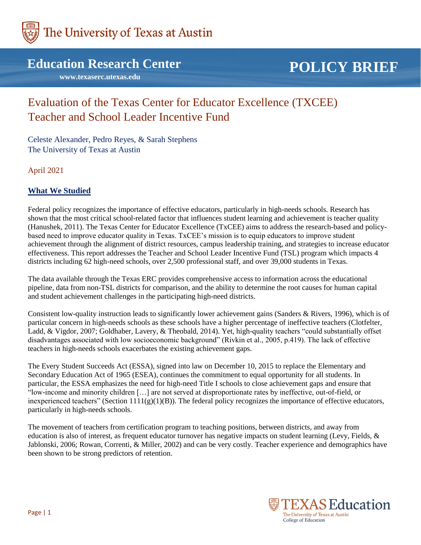

## **Education Research Center**

 **www.texaserc.utexas.edu**

# **POLICY BRIEF**

# Evaluation of the Texas Center for Educator Excellence (TXCEE) Teacher and School Leader Incentive Fund

Celeste Alexander, Pedro Reyes, & Sarah Stephens The University of Texas at Austin

April 2021

### **What We Studied**

Federal policy recognizes the importance of effective educators, particularly in high-needs schools. Research has shown that the most critical school-related factor that influences student learning and achievement is teacher quality (Hanushek, 2011). The Texas Center for Educator Excellence (TxCEE) aims to address the research-based and policybased need to improve educator quality in Texas. TxCEE's mission is to equip educators to improve student achievement through the alignment of district resources, campus leadership training, and strategies to increase educator effectiveness. This report addresses the Teacher and School Leader Incentive Fund (TSL) program which impacts 4 districts including 62 high-need schools, over 2,500 professional staff, and over 39,000 students in Texas.

The data available through the Texas ERC provides comprehensive access to information across the educational pipeline, data from non-TSL districts for comparison, and the ability to determine the root causes for human capital and student achievement challenges in the participating high-need districts.

Consistent low-quality instruction leads to significantly lower achievement gains (Sanders & Rivers, 1996), which is of particular concern in high-needs schools as these schools have a higher percentage of ineffective teachers (Clotfelter, Ladd, & Vigdor, 2007; Goldhaber, Lavery, & Theobald, 2014). Yet, high-quality teachers "could substantially offset disadvantages associated with low socioeconomic background" (Rivkin et al., 2005, p.419). The lack of effective teachers in high-needs schools exacerbates the existing achievement gaps.

The Every Student Succeeds Act (ESSA), signed into law on December 10, 2015 to replace the Elementary and Secondary Education Act of 1965 (ESEA), continues the commitment to equal opportunity for all students. In particular, the ESSA emphasizes the need for high-need Title I schools to close achievement gaps and ensure that "low-income and minority children […] are not served at disproportionate rates by ineffective, out-of-field, or inexperienced teachers" (Section 1111(g)(1)(B)). The federal policy recognizes the importance of effective educators, particularly in high-needs schools.

The movement of teachers from certification program to teaching positions, between districts, and away from education is also of interest, as frequent educator turnover has negative impacts on student learning (Levy, Fields, & Jablonski, 2006; Rowan, Correnti, & Miller, 2002) and can be very costly. Teacher experience and demographics have been shown to be strong predictors of retention.

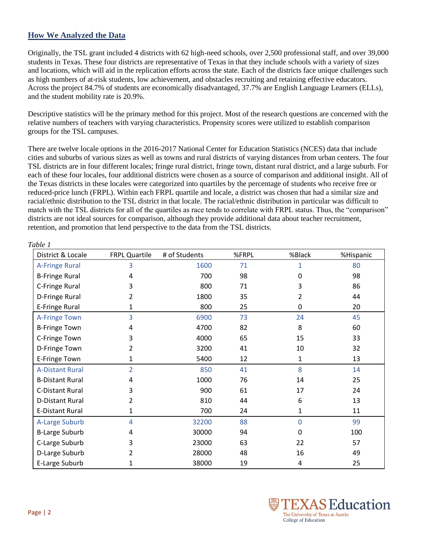#### **How We Analyzed the Data**

Originally, the TSL grant included 4 districts with 62 high-need schools, over 2,500 professional staff, and over 39,000 students in Texas. These four districts are representative of Texas in that they include schools with a variety of sizes and locations, which will aid in the replication efforts across the state. Each of the districts face unique challenges such as high numbers of at-risk students, low achievement, and obstacles recruiting and retaining effective educators. Across the project 84.7% of students are economically disadvantaged, 37.7% are English Language Learners (ELLs), and the student mobility rate is 20.9%.

Descriptive statistics will be the primary method for this project. Most of the research questions are concerned with the relative numbers of teachers with varying characteristics. Propensity scores were utilized to establish comparison groups for the TSL campuses.

There are twelve locale options in the 2016-2017 National Center for Education Statistics (NCES) data that include cities and suburbs of various sizes as well as towns and rural districts of varying distances from urban centers. The four TSL districts are in four different locales; fringe rural district, fringe town, distant rural district, and a large suburb. For each of these four locales, four additional districts were chosen as a source of comparison and additional insight. All of the Texas districts in these locales were categorized into quartiles by the percentage of students who receive free or reduced-price lunch (FRPL). Within each FRPL quartile and locale, a district was chosen that had a similar size and racial/ethnic distribution to the TSL district in that locale. The racial/ethnic distribution in particular was difficult to match with the TSL districts for all of the quartiles as race tends to correlate with FRPL status. Thus, the "comparison" districts are not ideal sources for comparison, although they provide additional data about teacher recruitment, retention, and promotion that lend perspective to the data from the TSL districts.

| District & Locale      | FRPL Quartile  | # of Students | %FRPL | %Black       | %Hispanic |
|------------------------|----------------|---------------|-------|--------------|-----------|
| <b>A-Fringe Rural</b>  | 3              | 1600          | 71    | 1            | 80        |
| <b>B-Fringe Rural</b>  | 4              | 700           | 98    | 0            | 98        |
| C-Fringe Rural         | 3              | 800           | 71    | 3            | 86        |
| D-Fringe Rural         | 2              | 1800          | 35    | 2            | 44        |
| E-Fringe Rural         | 1              | 800           | 25    | 0            | 20        |
| <b>A-Fringe Town</b>   | 3              | 6900          | 73    | 24           | 45        |
| <b>B-Fringe Town</b>   | 4              | 4700          | 82    | 8            | 60        |
| C-Fringe Town          | 3              | 4000          | 65    | 15           | 33        |
| D-Fringe Town          | 2              | 3200          | 41    | 10           | 32        |
| E-Fringe Town          | 1              | 5400          | 12    | 1            | 13        |
| <b>A-Distant Rural</b> | $\overline{2}$ | 850           | 41    | 8            | 14        |
| <b>B-Distant Rural</b> | 4              | 1000          | 76    | 14           | 25        |
| <b>C-Distant Rural</b> | 3              | 900           | 61    | 17           | 24        |
| <b>D-Distant Rural</b> | 2              | 810           | 44    | 6            | 13        |
| <b>E-Distant Rural</b> | 1              | 700           | 24    | 1            | 11        |
| A-Large Suburb         | 4              | 32200         | 88    | $\Omega$     | 99        |
| <b>B-Large Suburb</b>  | 4              | 30000         | 94    | <sup>0</sup> | 100       |
| C-Large Suburb         | 3              | 23000         | 63    | 22           | 57        |
| D-Large Suburb         | 2              | 28000         | 48    | 16           | 49        |
| E-Large Suburb         | 1              | 38000         | 19    | 4            | 25        |



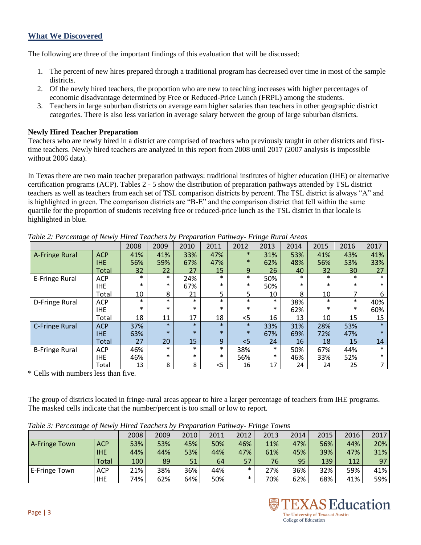## **What We Discovered**

The following are three of the important findings of this evaluation that will be discussed:

- 1. The percent of new hires prepared through a traditional program has decreased over time in most of the sample districts.
- 2. Of the newly hired teachers, the proportion who are new to teaching increases with higher percentages of economic disadvantage determined by Free or Reduced-Price Lunch (FRPL) among the students.
- 3. Teachers in large suburban districts on average earn higher salaries than teachers in other geographic district categories. There is also less variation in average salary between the group of large suburban districts.

#### **Newly Hired Teacher Preparation**

Teachers who are newly hired in a district are comprised of teachers who previously taught in other districts and firsttime teachers. Newly hired teachers are analyzed in this report from 2008 until 2017 (2007 analysis is impossible without 2006 data).

In Texas there are two main teacher preparation pathways: traditional institutes of higher education (IHE) or alternative certification programs (ACP). Tables 2 - 5 show the distribution of preparation pathways attended by TSL district teachers as well as teachers from each set of TSL comparison districts by percent. The TSL district is always "A" and is highlighted in green. The comparison districts are "B-E" and the comparison district that fell within the same quartile for the proportion of students receiving free or reduced-price lunch as the TSL district in that locale is highlighted in blue.

|                       |            | 2008   | 2009   | 2010   | 2011           | 2012   | 2013   | 2014   | 2015   | 2016   | 2017   |
|-----------------------|------------|--------|--------|--------|----------------|--------|--------|--------|--------|--------|--------|
| <b>A-Fringe Rural</b> | <b>ACP</b> | 41%    | 41%    | 33%    | 47%            | $\ast$ | 31%    | 53%    | 41%    | 43%    | 41%    |
|                       | <b>IHE</b> | 56%    | 59%    | 67%    | 47%            | $\ast$ | 62%    | 48%    | 56%    | 53%    | 33%    |
|                       | Total      | 32     | 22     | 27     | 15             | 9      | 26     | 40     | 32     | 30     | 27     |
| E-Fringe Rural        | <b>ACP</b> | $\ast$ | $\ast$ | 24%    | $\ast$         | $\ast$ | 50%    | $\ast$ | $\ast$ | $\ast$ | $\ast$ |
|                       | <b>IHE</b> | $\ast$ | $\ast$ | 67%    | $\ast$         | $\ast$ | 50%    | $\ast$ | $\ast$ | $\ast$ | $\ast$ |
|                       | Total      | 10     | 8      | 21     | 5              | 5.     | 10     | 8      | 10     | 7      | 6      |
| D-Fringe Rural        | <b>ACP</b> | $\ast$ | $\ast$ | $\ast$ | $\ast$         | $\ast$ | $\ast$ | 38%    | $\ast$ | $\ast$ | 40%    |
|                       | <b>IHE</b> | $\ast$ | $\ast$ | $\ast$ | $\ast$         | $\ast$ | $\ast$ | 62%    | $\ast$ | $\ast$ | 60%    |
|                       | Total      | 18     | 11     | 17     | 18             | $<$ 5  | 16     | 13     | 10     | 15     | 15     |
| <b>C-Fringe Rural</b> | <b>ACP</b> | 37%    | $\ast$ | $\ast$ | $\ast$         | $\ast$ | 33%    | 31%    | 28%    | 53%    | $\ast$ |
|                       | <b>IHE</b> | 63%    | $\ast$ | $\ast$ | $\ast$         | $\ast$ | 67%    | 69%    | 72%    | 47%    | $\ast$ |
|                       | Total      | 27     | 20     | 15     | 9 <sup>°</sup> | $<$ 5  | 24     | 16     | 18     | 15     | 14     |
| <b>B-Fringe Rural</b> | <b>ACP</b> | 46%    | $\ast$ | $\ast$ | $\ast$         | 38%    | $\ast$ | 50%    | 67%    | 44%    | $\ast$ |
|                       | <b>IHE</b> | 46%    | $\ast$ | $\ast$ | *              | 56%    | $\ast$ | 46%    | 33%    | 52%    | $\ast$ |
|                       | Total      | 13     | 8      | 8      | $<$ 5          | 16     | 17     | 24     | 24     | 25     |        |

*Table 2: Percentage of Newly Hired Teachers by Preparation Pathway- Fringe Rural Areas*

\* Cells with numbers less than five.

The group of districts located in fringe-rural areas appear to hire a larger percentage of teachers from IHE programs. The masked cells indicate that the number/percent is too small or low to report.

|               | .          |      |      |      |      |        | $\cdots$ |      |      |      |      |
|---------------|------------|------|------|------|------|--------|----------|------|------|------|------|
|               |            | 2008 | 2009 | 2010 | 2011 | 2012   | 2013     | 2014 | 2015 | 2016 | 2017 |
| A-Fringe Town | <b>ACP</b> | 53%  | 53%  | 45%  | 50%  | 46%    | 11%      | 47%  | 56%  | 44%  | 20%  |
|               | <b>IHE</b> | 44%  | 44%  | 53%  | 44%  | 47%    | 61%      | 45%  | 39%  | 47%  | 31%  |
|               | Total      | 100  | 89   | 51   | 64   | 57     | 76       | 95   | 139  | 112  | 97   |
| E-Fringe Town | <b>ACP</b> | 21%  | 38%  | 36%  | 44%  | $\ast$ | 27%      | 36%  | 32%  | 59%  | 41%  |
|               | <b>IHE</b> | 74%  | 62%  | 64%  | 50%  | $\ast$ | 70%      | 62%  | 68%  | 41%  | 59%  |

*Table 3: Percentage of Newly Hired Teachers by Preparation Pathway- Fringe Towns*

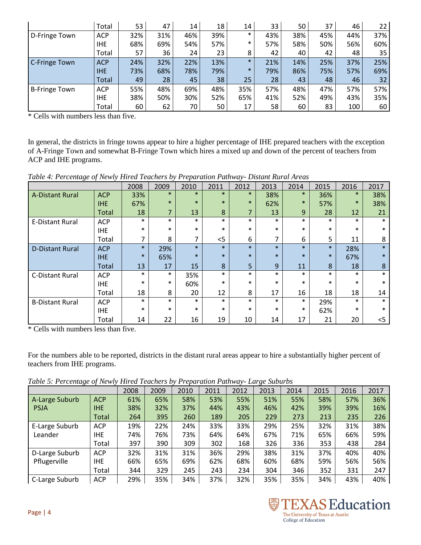|                      | Total      | 53  | 47  | 14  | 18 <sub>1</sub> | 14     | 33  | 50  | 37  | 46  | $22^{\circ}$ |
|----------------------|------------|-----|-----|-----|-----------------|--------|-----|-----|-----|-----|--------------|
| D-Fringe Town        | <b>ACP</b> | 32% | 31% | 46% | 39%             | $\ast$ | 43% | 38% | 45% | 44% | 37%          |
|                      | <b>IHE</b> | 68% | 69% | 54% | 57%             | $\ast$ | 57% | 58% | 50% | 56% | 60%          |
|                      | Total      | 57  | 36  | 24  | 23              | 8      | 42  | 40  | 42  | 48  | 35           |
| <b>C-Fringe Town</b> | <b>ACP</b> | 24% | 32% | 22% | 13%             | $\ast$ | 21% | 14% | 25% | 37% | 25%          |
|                      | <b>IHE</b> | 73% | 68% | 78% | 79%             | $\ast$ | 79% | 86% | 75% | 57% | 69%          |
|                      | Total      | 49  | 28  | 45  | 38              | 25     | 28  | 43  | 48  | 46  | 32           |
| <b>B-Fringe Town</b> | <b>ACP</b> | 55% | 48% | 69% | 48%             | 35%    | 57% | 48% | 47% | 57% | 57%          |
|                      | IHE        | 38% | 50% | 30% | 52%             | 65%    | 41% | 52% | 49% | 43% | 35%          |
|                      | Total      | 60  | 62  | 70  | 50              | 17     | 58  | 60  | 83  | 100 | 60           |

\* Cells with numbers less than five.

In general, the districts in fringe towns appear to hire a higher percentage of IHE prepared teachers with the exception of A-Fringe Town and somewhat B-Fringe Town which hires a mixed up and down of the percent of teachers from ACP and IHE programs.

| Table 4: Percentage of Newly Hired Teachers by Preparation Pathway- Distant Rural Areas |  |  |  |  |
|-----------------------------------------------------------------------------------------|--|--|--|--|

|                        |              | 2008   | 2009   | 2010   | 2011   | 2012           | 2013   | 2014   | 2015   | 2016   | 2017   |
|------------------------|--------------|--------|--------|--------|--------|----------------|--------|--------|--------|--------|--------|
| <b>A-Distant Rural</b> | <b>ACP</b>   | 33%    | $\ast$ | $\ast$ | $\ast$ | $*$            | 38%    | $\ast$ | 36%    | $\ast$ | 38%    |
|                        | <b>IHE</b>   | 67%    | $\ast$ | $\ast$ | $\ast$ | $\ast$         | 62%    | $\ast$ | 57%    | $\ast$ | 38%    |
|                        | <b>Total</b> | 18     | 7      | 13     | 8      | 7              | 13     | 9      | 28     | 12     | 21     |
| <b>E-Distant Rural</b> | <b>ACP</b>   | $\ast$ | $\ast$ | $\ast$ | $\ast$ | $\ast$         | $\ast$ | $\ast$ | $\ast$ | $\ast$ | $\ast$ |
|                        | <b>IHE</b>   | $\ast$ | $\ast$ | $\ast$ | $\ast$ | $\ast$         | $\ast$ | $\ast$ | $\ast$ | $\ast$ | $\ast$ |
|                        | Total        |        | 8      | 7      | $<$ 5  | 6              |        | 6      | 5      | 11     | 8      |
| <b>D-Distant Rural</b> | <b>ACP</b>   | $\ast$ | 29%    | $\ast$ | $\ast$ | $\ast$         | $\ast$ | $\ast$ | $\ast$ | 28%    | $\ast$ |
|                        | IHE          | $\ast$ | 65%    | $\ast$ | $\ast$ | $\ast$         | $\ast$ | $\ast$ | $\ast$ | 67%    | $\ast$ |
|                        | Total        | 13     | 17     | 15     | 8      | 5 <sup>1</sup> | 9      | 11     | 8      | 18     | 8      |
| <b>C-Distant Rural</b> | <b>ACP</b>   | $\ast$ | $\ast$ | 35%    | $\ast$ | $\ast$         | $\ast$ | $\ast$ | $\ast$ | $\ast$ | $\ast$ |
|                        | IHE.         | $\ast$ | $\ast$ | 60%    | $\ast$ | $\ast$         | $\ast$ | $\ast$ | $\ast$ | $\ast$ | $\ast$ |
|                        | Total        | 18     | 8      | 20     | 12     | 8              | 17     | 16     | 18     | 18     | 14     |
| <b>B-Distant Rural</b> | <b>ACP</b>   | $\ast$ | $\ast$ | $\ast$ | $\ast$ | $\ast$         | $\ast$ | $\ast$ | 29%    | $\ast$ | $\ast$ |
|                        | IHE          | $\ast$ | $\ast$ | $\ast$ | $\ast$ | $\ast$         | $\ast$ | $\ast$ | 62%    | $\ast$ | $\ast$ |
|                        | Total        | 14     | 22     | 16     | 19     | 10             | 14     | 17     | 21     | 20     | <5     |

\* Cells with numbers less than five.

For the numbers able to be reported, districts in the distant rural areas appear to hire a substantially higher percent of teachers from IHE programs.

*Table 5: Percentage of Newly Hired Teachers by Preparation Pathway- Large Suburbs*

|                |            |      |      |      |      |      | $L_{\rm w} \wedge L_{\rm w} \wedge L_{\rm w} \wedge L_{\rm w}$ |      |      |      |      |
|----------------|------------|------|------|------|------|------|----------------------------------------------------------------|------|------|------|------|
|                |            | 2008 | 2009 | 2010 | 2011 | 2012 | 2013                                                           | 2014 | 2015 | 2016 | 2017 |
| A-Large Suburb | <b>ACP</b> | 61%  | 65%  | 58%  | 53%  | 55%  | 51%                                                            | 55%  | 58%  | 57%  | 36%  |
| <b>PSJA</b>    | <b>IHE</b> | 38%  | 32%  | 37%  | 44%  | 43%  | 46%                                                            | 42%  | 39%  | 39%  | 16%  |
|                | Total      | 264  | 395  | 260  | 189  | 205  | 229                                                            | 273  | 213  | 235  | 226  |
| E-Large Suburb | <b>ACP</b> | 19%  | 22%  | 24%  | 33%  | 33%  | 29%                                                            | 25%  | 32%  | 31%  | 38%  |
| Leander        | IHE.       | 74%  | 76%  | 73%  | 64%  | 64%  | 67%                                                            | 71%  | 65%  | 66%  | 59%  |
|                | Total      | 397  | 390  | 309  | 302  | 168  | 326                                                            | 336  | 353  | 438  | 284  |
| D-Large Suburb | <b>ACP</b> | 32%  | 31%  | 31%  | 36%  | 29%  | 38%                                                            | 31%  | 37%  | 40%  | 40%  |
| Pflugerville   | <b>IHE</b> | 66%  | 65%  | 69%  | 62%  | 68%  | 60%                                                            | 68%  | 59%  | 56%  | 56%  |
|                | Total      | 344  | 329  | 245  | 243  | 234  | 304                                                            | 346  | 352  | 331  | 247  |
| C-Large Suburb | <b>ACP</b> | 29%  | 35%  | 34%  | 37%  | 32%  | 35%                                                            | 35%  | 34%  | 43%  | 40%  |

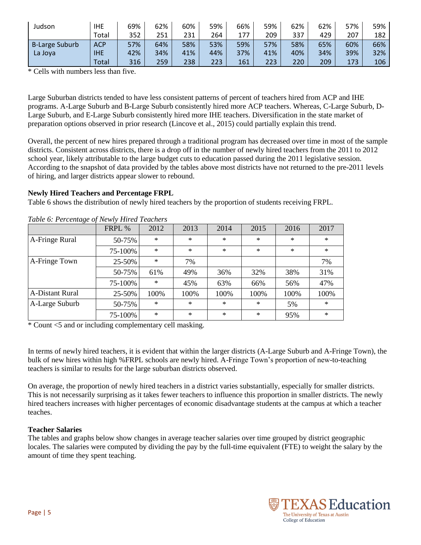| Judson         | <b>IHE</b> | 69% | 62% | 60% | 59% | 66% | 59% | 62% | 62% | 57% | 59% |
|----------------|------------|-----|-----|-----|-----|-----|-----|-----|-----|-----|-----|
|                | Total      | 352 | 251 | 231 | 264 | 177 | 209 | 337 | 429 | 207 | 182 |
| B-Large Suburb | <b>ACP</b> | 57% | 64% | 58% | 53% | 59% | 57% | 58% | 65% | 60% | 66% |
| La Joya        | <b>IHE</b> | 42% | 34% | 41% | 44% | 37% | 41% | 40% | 34% | 39% | 32% |
|                | Total      | 316 | 259 | 238 | 223 | 161 | 223 | 220 | 209 | 173 | 106 |

\* Cells with numbers less than five.

Large Suburban districts tended to have less consistent patterns of percent of teachers hired from ACP and IHE programs. A-Large Suburb and B-Large Suburb consistently hired more ACP teachers. Whereas, C-Large Suburb, D-Large Suburb, and E-Large Suburb consistently hired more IHE teachers. Diversification in the state market of preparation options observed in prior research (Lincove et al., 2015) could partially explain this trend.

Overall, the percent of new hires prepared through a traditional program has decreased over time in most of the sample districts. Consistent across districts, there is a drop off in the number of newly hired teachers from the 2011 to 2012 school year, likely attributable to the large budget cuts to education passed during the 2011 legislative session. According to the snapshot of data provided by the tables above most districts have not returned to the pre-2011 levels of hiring, and larger districts appear slower to rebound.

#### **Newly Hired Teachers and Percentage FRPL**

Table 6 shows the distribution of newly hired teachers by the proportion of students receiving FRPL.

|                        | FRPL %  | 2012   | 2013   | 2014   | 2015   | 2016   | 2017   |
|------------------------|---------|--------|--------|--------|--------|--------|--------|
| A-Fringe Rural         | 50-75%  | $\ast$ | $\ast$ | $\ast$ | $\ast$ | $\ast$ | $\ast$ |
|                        | 75-100% | $\ast$ | $\ast$ | $\ast$ | $\ast$ | $*$    | $\ast$ |
| A-Fringe Town          | 25-50%  | $\ast$ | 7%     |        |        |        | 7%     |
|                        | 50-75%  | 61%    | 49%    | 36%    | 32%    | 38%    | 31%    |
|                        | 75-100% | $\ast$ | 45%    | 63%    | 66%    | 56%    | 47%    |
| <b>A-Distant Rural</b> | 25-50%  | 100%   | 100%   | 100%   | 100%   | 100%   | 100%   |
| A-Large Suburb         | 50-75%  | $\ast$ | $\ast$ | $\ast$ | $\ast$ | 5%     | $\ast$ |
|                        | 75-100% | $\ast$ | $\ast$ | $\ast$ | $\ast$ | 95%    | $\ast$ |

*Table 6: Percentage of Newly Hired Teachers* 

\* Count <5 and or including complementary cell masking.

In terms of newly hired teachers, it is evident that within the larger districts (A-Large Suburb and A-Fringe Town), the bulk of new hires within high %FRPL schools are newly hired. A-Fringe Town's proportion of new-to-teaching teachers is similar to results for the large suburban districts observed.

On average, the proportion of newly hired teachers in a district varies substantially, especially for smaller districts. This is not necessarily surprising as it takes fewer teachers to influence this proportion in smaller districts. The newly hired teachers increases with higher percentages of economic disadvantage students at the campus at which a teacher teaches.

#### **Teacher Salaries**

The tables and graphs below show changes in average teacher salaries over time grouped by district geographic locales. The salaries were computed by dividing the pay by the full-time equivalent (FTE) to weight the salary by the amount of time they spent teaching.

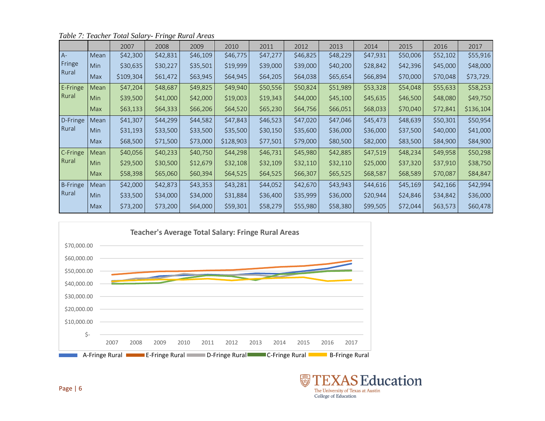|                 |            | 2007      | 2008     | 2009     | 2010      | 2011     | 2012     | 2013     | 2014     | 2015     | 2016     | 2017      |
|-----------------|------------|-----------|----------|----------|-----------|----------|----------|----------|----------|----------|----------|-----------|
| $A -$           | Mean       | \$42,300  | \$42,831 | \$46,109 | \$46,775  | \$47,277 | \$46,825 | \$48,229 | \$47,931 | \$50,006 | \$52,102 | \$55,916  |
| Fringe          | Min        | \$30,635  | \$30,227 | \$35,501 | \$19,999  | \$39,000 | \$39,000 | \$40,200 | \$28,842 | \$42,396 | \$45,000 | \$48,000  |
| Rural           | Max        | \$109,304 | \$61,472 | \$63,945 | \$64,945  | \$64,205 | \$64,038 | \$65,654 | \$66,894 | \$70,000 | \$70,048 | \$73,729. |
| E-Fringe        | Mean       | \$47,204  | \$48,687 | \$49,825 | \$49,940  | \$50,556 | \$50,824 | \$51,989 | \$53,328 | \$54,048 | \$55,633 | \$58,253  |
| Rural           | Min        | \$39,500  | \$41,000 | \$42,000 | \$19,003  | \$19,343 | \$44,000 | \$45,100 | \$45,635 | \$46,500 | \$48,080 | \$49,750  |
|                 | Max        | \$63,133  | \$64,333 | \$66,206 | \$64,520  | \$65,230 | \$64,756 | \$66,051 | \$68,033 | \$70,040 | \$72,841 | \$136,104 |
| D-Fringe        | Mean       | \$41,307  | \$44,299 | \$44,582 | \$47,843  | \$46,523 | \$47,020 | \$47,046 | \$45,473 | \$48,639 | \$50,301 | \$50,954  |
| Rural           | Min        | \$31,193  | \$33,500 | \$33,500 | \$35,500  | \$30,150 | \$35,600 | \$36,000 | \$36,000 | \$37,500 | \$40,000 | \$41,000  |
|                 | <b>Max</b> | \$68,500  | \$71,500 | \$73,000 | \$128,903 | \$77,501 | \$79,000 | \$80,500 | \$82,000 | \$83,500 | \$84,900 | \$84,900  |
| C-Fringe        | Mean       | \$40,056  | \$40,233 | \$40,750 | \$44,298  | \$46,731 | \$45,980 | \$42,885 | \$47,519 | \$48,234 | \$49,958 | \$50,298  |
| Rural           | Min        | \$29,500  | \$30,500 | \$12,679 | \$32,108  | \$32,109 | \$32,110 | \$32,110 | \$25,000 | \$37,320 | \$37,910 | \$38,750  |
|                 | <b>Max</b> | \$58,398  | \$65,060 | \$60,394 | \$64,525  | \$64,525 | \$66,307 | \$65,525 | \$68,587 | \$68,589 | \$70,087 | \$84,847  |
| <b>B-Fringe</b> | Mean       | \$42,000  | \$42,873 | \$43,353 | \$43,281  | \$44,052 | \$42,670 | \$43,943 | \$44,616 | \$45,169 | \$42,166 | \$42,994  |
| Rural           | Min        | \$33,500  | \$34,000 | \$34,000 | \$31,884  | \$36,400 | \$35,999 | \$36,000 | \$20,944 | \$24,846 | \$34,842 | \$36,000  |
|                 | Max        | \$73,200  | \$73,200 | \$64,000 | \$59,301  | \$58,279 | \$55,980 | \$58,380 | \$99,505 | \$72,044 | \$63,573 | \$60,478  |

*Table 7: Teacher Total Salary- Fringe Rural Areas*



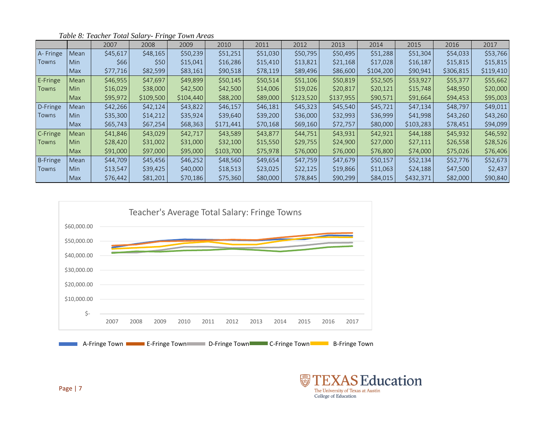|          |            | 2007     | 2008      | 2009      | 2010      | 2011     | 2012      | 2013      | 2014      | 2015      | 2016      | 2017      |
|----------|------------|----------|-----------|-----------|-----------|----------|-----------|-----------|-----------|-----------|-----------|-----------|
| A-Fringe | Mean       | \$45,617 | \$48,165  | \$50,239  | \$51,251  | \$51,030 | \$50,795  | \$50,495  | \$51,288  | \$51,304  | \$54,033  | \$53,766  |
| Towns    | Min        | \$66     | \$50      | \$15,041  | \$16,286  | \$15,410 | \$13,821  | \$21,168  | \$17,028  | \$16,187  | \$15,815  | \$15,815  |
|          | Max        | \$77,716 | \$82,599  | \$83,161  | \$90,518  | \$78,119 | \$89,496  | \$86,600  | \$104,200 | \$90,941  | \$306,815 | \$119,410 |
| E-Fringe | Mean       | \$46,955 | \$47,697  | \$49,899  | \$50,145  | \$50,514 | \$51,106  | \$50,819  | \$52,505  | \$53,927  | \$55,377  | \$55,662  |
| Towns    | Min        | \$16,029 | \$38,000  | \$42,500  | \$42,500  | \$14,006 | \$19,026  | \$20,817  | \$20,121  | \$15,748  | \$48,950  | \$20,000  |
|          | Max        | \$95,972 | \$109,500 | \$104,440 | \$88,200  | \$89,000 | \$123,520 | \$137,955 | \$90,571  | \$91,664  | \$94,453  | \$95,003  |
| D-Fringe | Mean       | \$42,266 | \$42,124  | \$43,822  | \$46,157  | \$46,181 | \$45,323  | \$45,540  | \$45,721  | \$47,134  | \$48,797  | \$49,011  |
| Towns    | Min        | \$35,300 | \$14,212  | \$35,924  | \$39,640  | \$39,200 | \$36,000  | \$32,993  | \$36,999  | \$41,998  | \$43,260  | \$43,260  |
|          | Max        | \$65,743 | \$67,254  | \$68,363  | \$171,441 | \$70,168 | \$69,160  | \$72,757  | \$80,000  | \$103,283 | \$78,451  | \$94,099  |
| C-Fringe | Mean       | \$41,846 | \$43,029  | \$42,717  | \$43,589  | \$43,877 | \$44,751  | \$43,931  | \$42,921  | \$44,188  | \$45,932  | \$46,592  |
| Towns    | Min        | \$28,420 | \$31,002  | \$31,000  | \$32,100  | \$15,550 | \$29,755  | \$24,900  | \$27,000  | \$27,111  | \$26,558  | \$28,526  |
|          | Max        | \$91,000 | \$97,000  | \$95,000  | \$103,700 | \$75,978 | \$76,000  | \$76,000  | \$76,800  | \$74,000  | \$75,026  | \$76,406  |
| B-Fringe | Mean       | \$44,709 | \$45,456  | \$46,252  | \$48,560  | \$49,654 | \$47,759  | \$47,679  | \$50,157  | \$52,134  | \$52,776  | \$52,673  |
| Towns    | <b>Min</b> | \$13,547 | \$39,425  | \$40,000  | \$18,513  | \$23,025 | \$22,125  | \$19,866  | \$11,063  | \$24,188  | \$47,500  | \$2,437   |
|          | Max        | \$76,442 | \$81,201  | \$70,186  | \$75,360  | \$80,000 | \$78,845  | \$90,299  | \$84,015  | \$432,371 | \$82,000  | \$90,840  |

*Table 8: Teacher Total Salary- Fringe Town Areas*



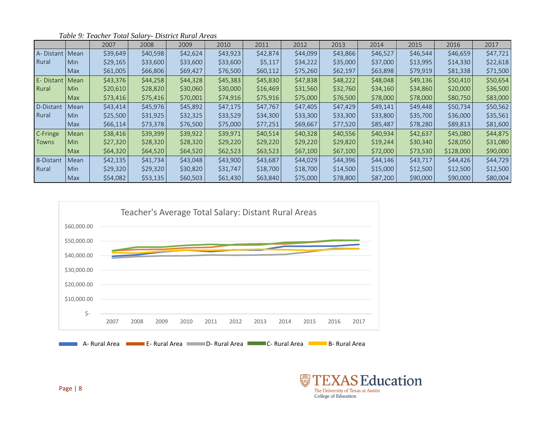|                  |            | 2007     | 2008     | 2009     | 2010     | 2011     | 2012     | 2013     | 2014     | 2015     | 2016      | 2017     |
|------------------|------------|----------|----------|----------|----------|----------|----------|----------|----------|----------|-----------|----------|
| A-Distant   Mean |            | \$39,649 | \$40,598 | \$42,624 | \$43,923 | \$42,874 | \$44,099 | \$43,866 | \$46,527 | \$46,544 | \$46,659  | \$47,721 |
| Rural            | <b>Min</b> | \$29,165 | \$33,600 | \$33,600 | \$33,600 | \$5,117  | \$34,222 | \$35,000 | \$37,000 | \$13,995 | \$14,330  | \$22,618 |
|                  | <b>Max</b> | \$61,005 | \$66,806 | \$69,427 | \$76,500 | \$60,112 | \$75,260 | \$62,197 | \$63,898 | \$79,919 | \$81,338  | \$71,500 |
| E- Distant       | Mean       | \$43,376 | \$44,258 | \$44,328 | \$45,383 | \$45,830 | \$47,838 | \$48,222 | \$48,048 | \$49,136 | \$50,410  | \$50,654 |
| Rural            | <b>Min</b> | \$20,610 | \$28,820 | \$30,060 | \$30,000 | \$16,469 | \$31,560 | \$32,760 | \$34,160 | \$34,860 | \$20,000  | \$36,500 |
|                  | <b>Max</b> | \$73,416 | \$75,416 | \$70,001 | \$74,916 | \$75,916 | \$75,000 | \$76,500 | \$78,000 | \$78,000 | \$80,750  | \$83,000 |
| D-Distant        | Mean       | \$43,414 | \$45,976 | \$45,892 | \$47,175 | \$47,767 | \$47,405 | \$47,429 | \$49,141 | \$49,448 | \$50,734  | \$50,562 |
| Rural            | <b>Min</b> | \$25,500 | \$31,925 | \$32,325 | \$33,529 | \$34,300 | \$33,300 | \$33,300 | \$33,800 | \$35,700 | \$36,000  | \$35,561 |
|                  | <b>Max</b> | \$66,114 | \$73,378 | \$76,500 | \$75,000 | \$77,251 | \$69,667 | \$77,520 | \$85,487 | \$78,280 | \$89,813  | \$81,600 |
| C-Fringe         | Mean       | \$38,416 | \$39,399 | \$39,922 | \$39,971 | \$40,514 | \$40,328 | \$40,556 | \$40,934 | \$42,637 | \$45,080  | \$44,875 |
| Towns            | <b>Min</b> | \$27,320 | \$28,320 | \$28,320 | \$29,220 | \$29,220 | \$29,220 | \$29,820 | \$19,244 | \$30,340 | \$28,050  | \$31,080 |
|                  | Max        | \$64,320 | \$64,520 | \$64,520 | \$62,523 | \$63,523 | \$67,100 | \$67,100 | \$72,000 | \$73,530 | \$128,000 | \$90,000 |
| <b>B-Distant</b> | Mean       | \$42,135 | \$41,734 | \$43,048 | \$43,900 | \$43,687 | \$44,029 | \$44,396 | \$44,146 | \$43,717 | \$44,426  | \$44,729 |
| Rural            | <b>Min</b> | \$29,320 | \$29,320 | \$30,820 | \$31,747 | \$18,700 | \$18,700 | \$14,500 | \$15,000 | \$12,500 | \$12,500  | \$12,500 |
|                  | <b>Max</b> | \$54,082 | \$53,135 | \$60,503 | \$61,430 | \$63,840 | \$75,000 | \$78,800 | \$87,200 | \$90,000 | \$90,000  | \$80,004 |

*Table 9: Teacher Total Salary- District Rural Areas*



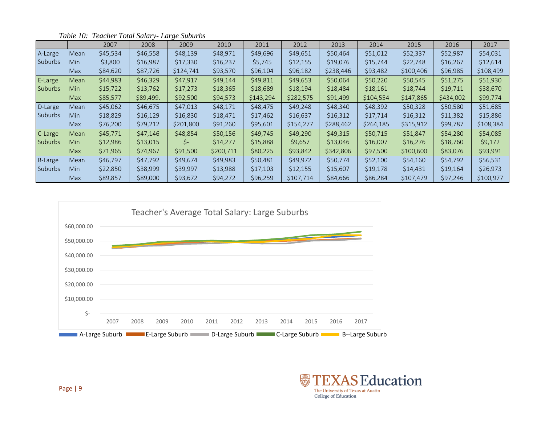|                |            | 2007     | 2008      | 2009      | 2010      | 2011      | 2012      | 2013      | 2014      | 2015      | 2016      | 2017      |
|----------------|------------|----------|-----------|-----------|-----------|-----------|-----------|-----------|-----------|-----------|-----------|-----------|
| A-Large        | Mean       | \$45,534 | \$46,558  | \$48,139  | \$48,971  | \$49,696  | \$49,651  | \$50,464  | \$51,012  | \$52,337  | \$52,987  | \$54,031  |
| <b>Suburbs</b> | Min        | \$3,800  | \$16,987  | \$17,330  | \$16,237  | \$5,745   | \$12,155  | \$19,076  | \$15,744  | \$22,748  | \$16,267  | \$12,614  |
|                | <b>Max</b> | \$84,620 | \$87,726  | \$124,741 | \$93,570  | \$96,104  | \$96,182  | \$238,446 | \$93,482  | \$100,406 | \$96,985  | \$108,499 |
| E-Large        | Mean       | \$44,983 | \$46,329  | \$47,917  | \$49,144  | \$49,811  | \$49,653  | \$50,064  | \$50,220  | \$50,545  | \$51,275  | \$51,930  |
| <b>Suburbs</b> | Min        | \$15,722 | \$13,762  | \$17,273  | \$18,365  | \$18,689  | \$18,194  | \$18,484  | \$18,161  | \$18,744  | \$19,711  | \$38,670  |
|                | Max        | \$85,577 | \$89,499. | \$92,500  | \$94,573  | \$143,294 | \$282,575 | \$91,499  | \$104,554 | \$147,865 | \$434,002 | \$99,774  |
| D-Large        | Mean       | \$45,062 | \$46,675  | \$47,013  | \$48,171  | \$48,475  | \$49,248  | \$48,340  | \$48,392  | \$50,328  | \$50,580  | \$51,685  |
| <b>Suburbs</b> | Min        | \$18,829 | \$16,129  | \$16,830  | \$18,471  | \$17,462  | \$16,637  | \$16,312  | \$17,714  | \$16,312  | \$11,382  | \$15,886  |
|                | <b>Max</b> | \$76,200 | \$79,212  | \$201,800 | \$91,260  | \$95,601  | \$154,277 | \$288,462 | \$264,185 | \$315,912 | \$99,787  | \$108,384 |
| C-Large        | Mean       | \$45,771 | \$47,146  | \$48,854  | \$50,156  | \$49,745  | \$49,290  | \$49,315  | \$50,715  | \$51,847  | \$54,280  | \$54,085  |
| <b>Suburbs</b> | Min        | \$12,986 | \$13,015  | S-        | \$14,277  | \$15,888  | \$9,657   | \$13,046  | \$16,007  | \$16,276  | \$18,760  | \$9,172   |
|                | <b>Max</b> | \$71,965 | \$74,967  | \$91,500  | \$200,711 | \$80,225  | \$93,842  | \$342,806 | \$97,500  | \$100,600 | \$83,076  | \$93,991  |
| <b>B-Large</b> | Mean       | \$46,797 | \$47,792  | \$49,674  | \$49,983  | \$50,481  | \$49,972  | \$50,774  | \$52,100  | \$54,160  | \$54,792  | \$56,531  |
| Suburbs        | Min        | \$22,850 | \$38,999  | \$39,997  | \$13,988  | \$17,103  | \$12,155  | \$15,607  | \$19,178  | \$14,431  | \$19,164  | \$26,973  |
|                | <b>Max</b> | S89.857  | \$89,000  | \$93,672  | \$94,272  | \$96,259  | \$107,714 | \$84,666  | \$86,284  | \$107,479 | \$97,246  | \$100,977 |

*Table 10: Teacher Total Salary- Large Suburbs*